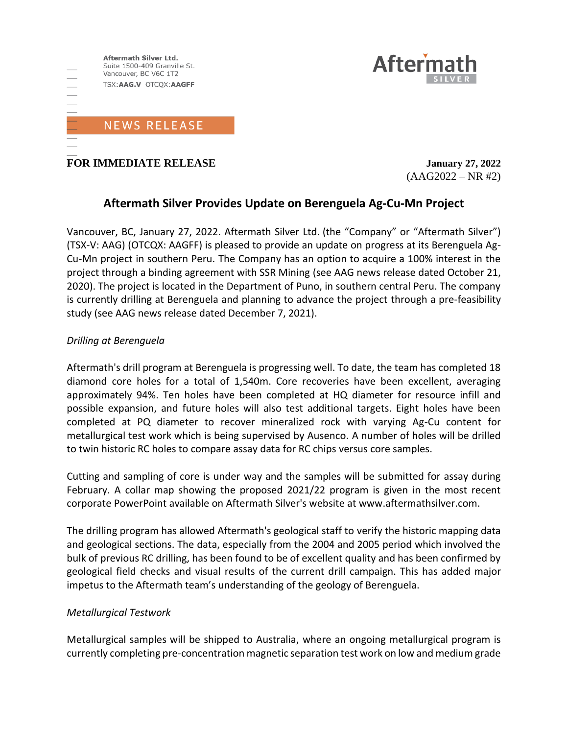

**FOR IMMEDIATE RELEASE January 27, 2022**

 $(AAG2022 - NR #2)$ 

**Aftern** 

# **Aftermath Silver Provides Update on Berenguela Ag-Cu-Mn Project**

Vancouver, BC, January 27, 2022. Aftermath Silver Ltd. (the "Company" or "Aftermath Silver") (TSX-V: AAG) (OTCQX: AAGFF) is pleased to provide an update on progress at its Berenguela Ag-Cu-Mn project in southern Peru. The Company has an option to acquire a 100% interest in the project through a binding agreement with SSR Mining (see AAG news release dated October 21, 2020). The project is located in the Department of Puno, in southern central Peru. The company is currently drilling at Berenguela and planning to advance the project through a pre-feasibility study (see AAG news release dated December 7, 2021).

## *Drilling at Berenguela*

Aftermath's drill program at Berenguela is progressing well. To date, the team has completed 18 diamond core holes for a total of 1,540m. Core recoveries have been excellent, averaging approximately 94%. Ten holes have been completed at HQ diameter for resource infill and possible expansion, and future holes will also test additional targets. Eight holes have been completed at PQ diameter to recover mineralized rock with varying Ag-Cu content for metallurgical test work which is being supervised by Ausenco. A number of holes will be drilled to twin historic RC holes to compare assay data for RC chips versus core samples.

Cutting and sampling of core is under way and the samples will be submitted for assay during February. A collar map showing the proposed 2021/22 program is given in the most recent corporate PowerPoint available on Aftermath Silver's website at www.aftermathsilver.com.

The drilling program has allowed Aftermath's geological staff to verify the historic mapping data and geological sections. The data, especially from the 2004 and 2005 period which involved the bulk of previous RC drilling, has been found to be of excellent quality and has been confirmed by geological field checks and visual results of the current drill campaign. This has added major impetus to the Aftermath team's understanding of the geology of Berenguela.

## *Metallurgical Testwork*

Metallurgical samples will be shipped to Australia, where an ongoing metallurgical program is currently completing pre-concentration magnetic separation test work on low and medium grade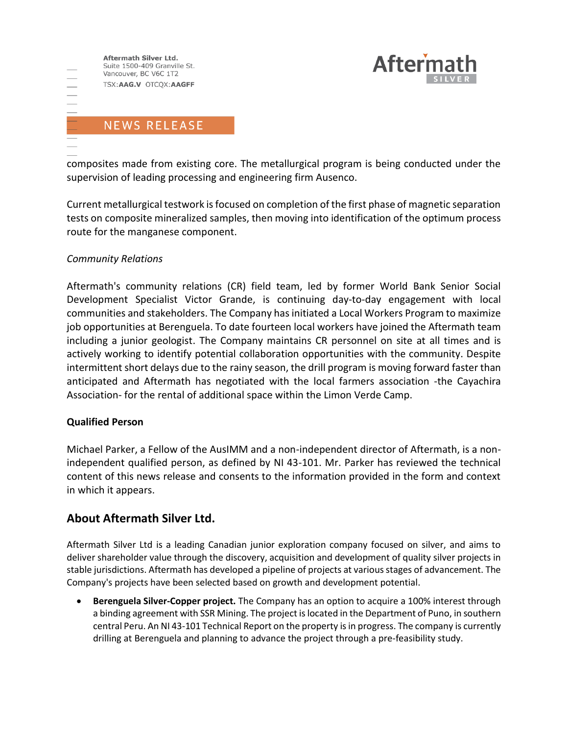Aftermath Silver Ltd. Suite 1500-409 Granville St. Vancouver, BC V6C 1T2 TSX:AAG.V OTCQX:AAGFF **NEWS RELEASE** 



composites made from existing core. The metallurgical program is being conducted under the supervision of leading processing and engineering firm Ausenco.

Current metallurgical testwork is focused on completion of the first phase of magnetic separation tests on composite mineralized samples, then moving into identification of the optimum process route for the manganese component.

## *Community Relations*

Aftermath's community relations (CR) field team, led by former World Bank Senior Social Development Specialist Victor Grande, is continuing day-to-day engagement with local communities and stakeholders. The Company has initiated a Local Workers Program to maximize job opportunities at Berenguela. To date fourteen local workers have joined the Aftermath team including a junior geologist. The Company maintains CR personnel on site at all times and is actively working to identify potential collaboration opportunities with the community. Despite intermittent short delays due to the rainy season, the drill program is moving forward faster than anticipated and Aftermath has negotiated with the local farmers association -the Cayachira Association- for the rental of additional space within the Limon Verde Camp.

## **Qualified Person**

Michael Parker, a Fellow of the AusIMM and a non-independent director of Aftermath, is a nonindependent qualified person, as defined by NI 43-101. Mr. Parker has reviewed the technical content of this news release and consents to the information provided in the form and context in which it appears.

# **About Aftermath Silver Ltd.**

Aftermath Silver Ltd is a leading Canadian junior exploration company focused on silver, and aims to deliver shareholder value through the discovery, acquisition and development of quality silver projects in stable jurisdictions. Aftermath has developed a pipeline of projects at various stages of advancement. The Company's projects have been selected based on growth and development potential.

• **Berenguela Silver-Copper project.** The Company has an option to acquire a 100% interest through a binding agreement with SSR Mining. The project is located in the Department of Puno, in southern central Peru. An NI 43-101 Technical Report on the property is in progress. The company is currently drilling at Berenguela and planning to advance the project through a pre-feasibility study.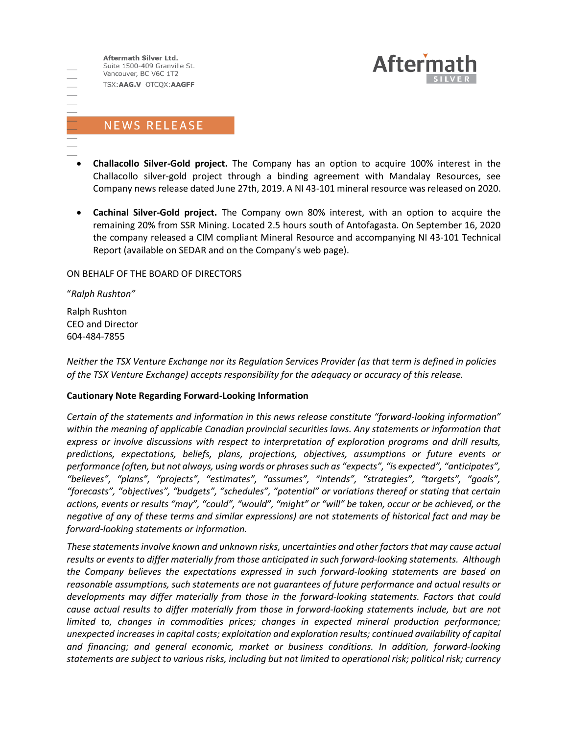Aftermath Silver Ltd. Suite 1500-409 Granville St. Vancouver, BC V6C 1T2 TSX:AAG.V OTCQX:AAGFF



# **NEWS RELEASE**

- - **Challacollo Silver-Gold project.** The Company has an option to acquire 100% interest in the Challacollo silver-gold project through a binding agreement with Mandalay Resources, see Company news release dated June 27th, 2019. A NI 43-101 mineral resource was released on 2020.
	- **Cachinal Silver-Gold project.** The Company own 80% interest, with an option to acquire the remaining 20% from SSR Mining. Located 2.5 hours south of Antofagasta. On September 16, 2020 the company released a CIM compliant Mineral Resource and accompanying NI 43-101 Technical Report (available on SEDAR and on the Company's web page).

#### ON BEHALF OF THE BOARD OF DIRECTORS

"*Ralph Rushton"*

Ralph Rushton CEO and Director 604-484-7855

*Neither the TSX Venture Exchange nor its Regulation Services Provider (as that term is defined in policies of the TSX Venture Exchange) accepts responsibility for the adequacy or accuracy of this release.*

#### **Cautionary Note Regarding Forward-Looking Information**

*Certain of the statements and information in this news release constitute "forward-looking information" within the meaning of applicable Canadian provincial securities laws. Any statements or information that express or involve discussions with respect to interpretation of exploration programs and drill results, predictions, expectations, beliefs, plans, projections, objectives, assumptions or future events or performance (often, but not always, using words or phrases such as "expects", "is expected", "anticipates", "believes", "plans", "projects", "estimates", "assumes", "intends", "strategies", "targets", "goals", "forecasts", "objectives", "budgets", "schedules", "potential" or variations thereof or stating that certain actions, events or results "may", "could", "would", "might" or "will" be taken, occur or be achieved, or the negative of any of these terms and similar expressions) are not statements of historical fact and may be forward-looking statements or information.*

*These statements involve known and unknown risks, uncertainties and other factors that may cause actual results or events to differ materially from those anticipated in such forward‐looking statements. Although the Company believes the expectations expressed in such forward‐looking statements are based on reasonable assumptions, such statements are not guarantees of future performance and actual results or developments may differ materially from those in the forward‐looking statements. Factors that could cause actual results to differ materially from those in forward‐looking statements include, but are not limited to, changes in commodities prices; changes in expected mineral production performance; unexpected increases in capital costs; exploitation and exploration results; continued availability of capital and financing; and general economic, market or business conditions. In addition, forward‐looking statements are subject to various risks, including but not limited to operational risk; political risk; currency*